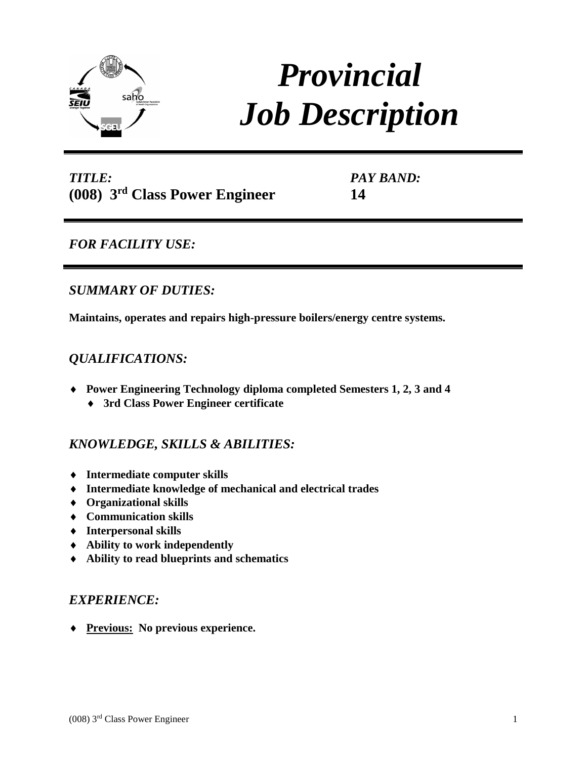

# *Provincial Job Description*

*TITLE:*  **(008) 3rd Class Power Engineer** *PAY BAND:* **14**

*FOR FACILITY USE:* 

# *SUMMARY OF DUTIES:*

**Maintains, operates and repairs high-pressure boilers/energy centre systems.**

# *QUALIFICATIONS:*

- **Power Engineering Technology diploma completed Semesters 1, 2, 3 and 4**
	- **3rd Class Power Engineer certificate**

## *KNOWLEDGE, SKILLS & ABILITIES:*

- **Intermediate computer skills**
- **Intermediate knowledge of mechanical and electrical trades**
- **Organizational skills**
- **Communication skills**
- **Interpersonal skills**
- **Ability to work independently**
- **Ability to read blueprints and schematics**

## *EXPERIENCE:*

**Previous: No previous experience.**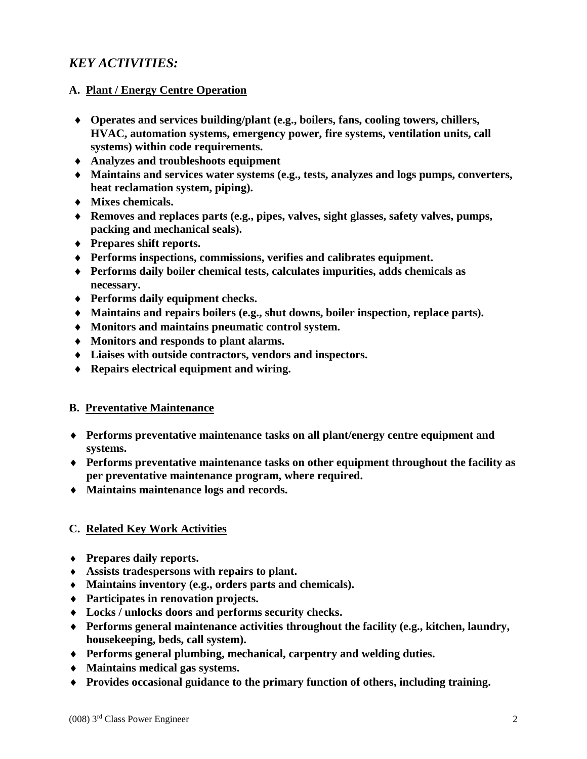# *KEY ACTIVITIES:*

## **A. Plant / Energy Centre Operation**

- **Operates and services building/plant (e.g., boilers, fans, cooling towers, chillers, HVAC, automation systems, emergency power, fire systems, ventilation units, call systems) within code requirements.**
- **Analyzes and troubleshoots equipment**
- **Maintains and services water systems (e.g., tests, analyzes and logs pumps, converters, heat reclamation system, piping).**
- **Mixes chemicals.**
- **Removes and replaces parts (e.g., pipes, valves, sight glasses, safety valves, pumps, packing and mechanical seals).**
- **Prepares shift reports.**
- **Performs inspections, commissions, verifies and calibrates equipment.**
- **Performs daily boiler chemical tests, calculates impurities, adds chemicals as necessary.**
- **Performs daily equipment checks.**
- **Maintains and repairs boilers (e.g., shut downs, boiler inspection, replace parts).**
- **Monitors and maintains pneumatic control system.**
- **Monitors and responds to plant alarms.**
- **Liaises with outside contractors, vendors and inspectors.**
- **Repairs electrical equipment and wiring.**

### **B. Preventative Maintenance**

- **Performs preventative maintenance tasks on all plant/energy centre equipment and systems.**
- **Performs preventative maintenance tasks on other equipment throughout the facility as per preventative maintenance program, where required.**
- **Maintains maintenance logs and records.**

### **C. Related Key Work Activities**

- **Prepares daily reports.**
- **Assists tradespersons with repairs to plant.**
- **Maintains inventory (e.g., orders parts and chemicals).**
- **Participates in renovation projects.**
- **Locks / unlocks doors and performs security checks.**
- **Performs general maintenance activities throughout the facility (e.g., kitchen, laundry, housekeeping, beds, call system).**
- **Performs general plumbing, mechanical, carpentry and welding duties.**
- **Maintains medical gas systems.**
- **Provides occasional guidance to the primary function of others, including training.**